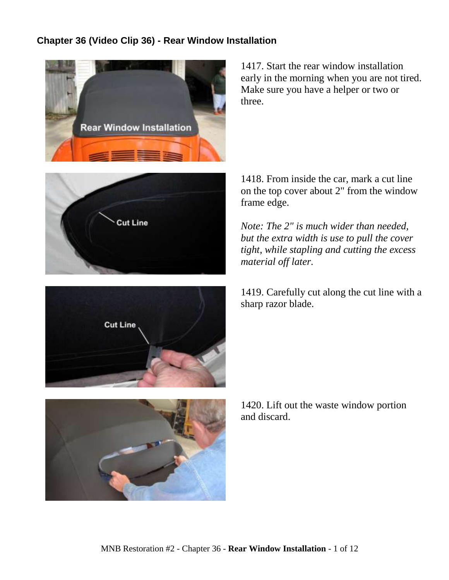## **Chapter 36 (Video Clip 36) - Rear Window Installation**



1417. Start the rear window installation early in the morning when you are not tired. Make sure you have a helper or two or three.





1418. From inside the car, mark a cut line on the top cover about 2" from the window frame edge.

*Note: The 2" is much wider than needed, but the extra width is use to pull the cover tight, while stapling and cutting the excess material off later.*

1419. Carefully cut along the cut line with a sharp razor blade.

1420. Lift out the waste window portion and discard.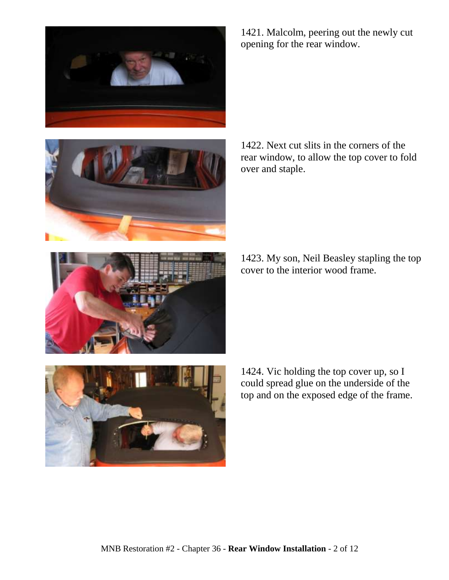



1421. Malcolm, peering out the newly cut opening for the rear window.

1422. Next cut slits in the corners of the rear window, to allow the top cover to fold over and staple.

1423. My son, Neil Beasley stapling the top cover to the interior wood frame.



1424. Vic holding the top cover up, so I could spread glue on the underside of the top and on the exposed edge of the frame.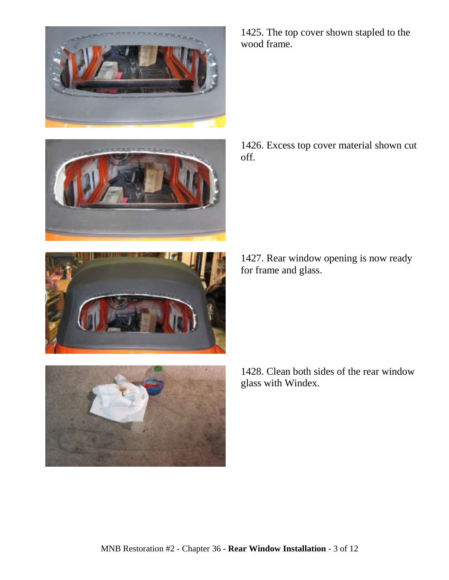







1425. The top cover shown stapled to the wood frame.

1426. Excess top cover material shown cut off.

1427. Rear window opening is now ready for frame and glass.

1428. Clean both sides of the rear window glass with Windex.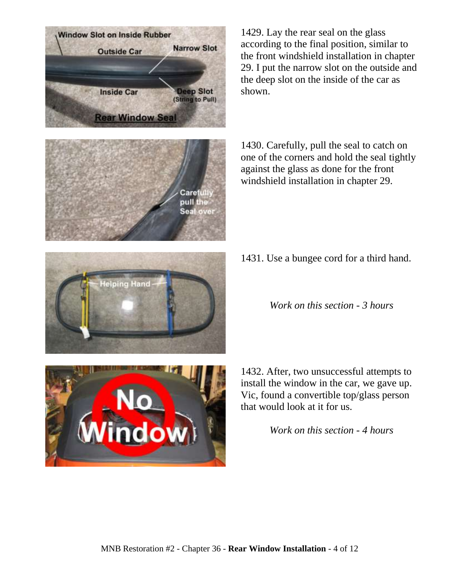

**Window Slot on Inside Rubber** 

**Outside Car** 

**Narrow Slot** 

1429. Lay the rear seal on the glass according to the final position, similar to the front windshield installation in chapter 29. I put the narrow slot on the outside and the deep slot on the inside of the car as shown.

1430. Carefully, pull the seal to catch on one of the corners and hold the seal tightly against the glass as done for the front windshield installation in chapter 29.

1431. Use a bungee cord for a third hand.

*Work on this section - 3 hours*

1432. After, two unsuccessful attempts to install the window in the car, we gave up. Vic, found a convertible top/glass person that would look at it for us.

*Work on this section - 4 hours*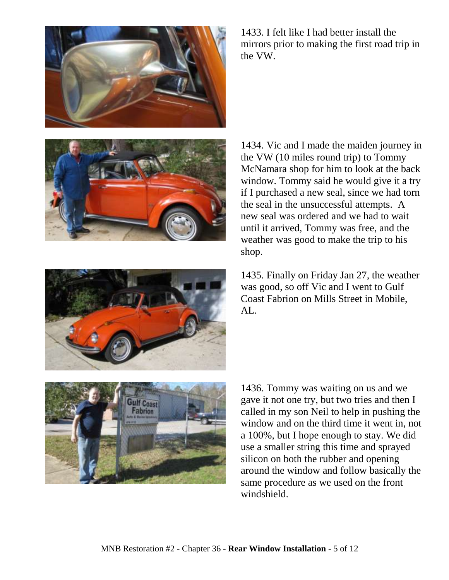





1435. Finally on Friday Jan 27, the weather was good, so off Vic and I went to Gulf Coast Fabrion on Mills Street in Mobile, AL.



1436. Tommy was waiting on us and we gave it not one try, but two tries and then I called in my son Neil to help in pushing the window and on the third time it went in, not a 100%, but I hope enough to stay. We did use a smaller string this time and sprayed silicon on both the rubber and opening around the window and follow basically the same procedure as we used on the front windshield.

1433. I felt like I had better install the mirrors prior to making the first road trip in the VW.

shop.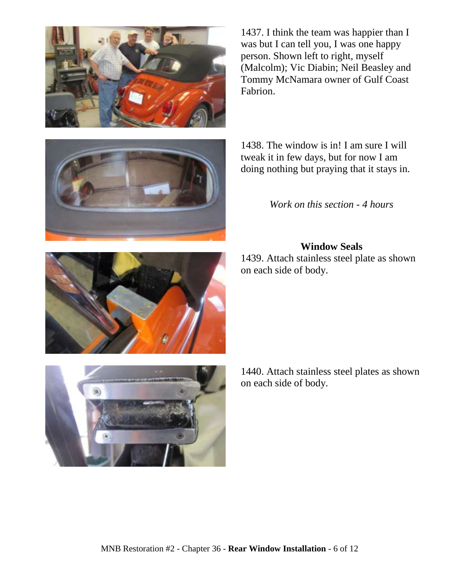

1437. I think the team was happier than I was but I can tell you, I was one happy person. Shown left to right, myself (Malcolm); Vic Diabin; Neil Beasley and Tommy McNamara owner of Gulf Coast Fabrion.

1438. The window is in! I am sure I will tweak it in few days, but for now I am doing nothing but praying that it stays in.

*Work on this section - 4 hours*

## **Window Seals**

1439. Attach stainless steel plate as shown on each side of body.

MNB Restoration #2 - Chapter 36 - **Rear Window Installation** - 6 of 12





1440. Attach stainless steel plates as shown on each side of body.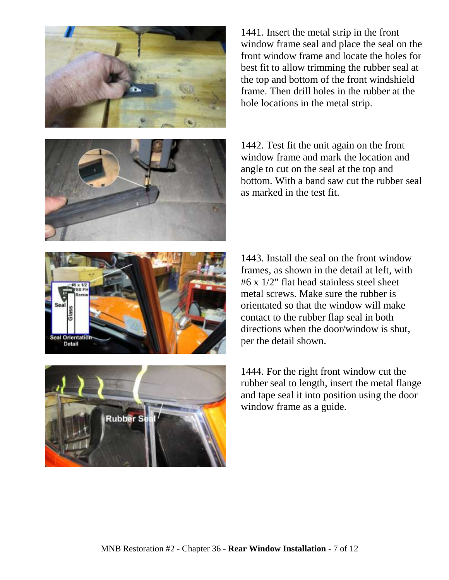





1442. Test fit the unit again on the front window frame and mark the location and angle to cut on the seal at the top and bottom. With a band saw cut the rubber seal as marked in the test fit.





1443. Install the seal on the front window frames, as shown in the detail at left, with #6 x 1/2" flat head stainless steel sheet metal screws. Make sure the rubber is orientated so that the window will make contact to the rubber flap seal in both directions when the door/window is shut, per the detail shown.

1444. For the right front window cut the rubber seal to length, insert the metal flange and tape seal it into position using the door window frame as a guide.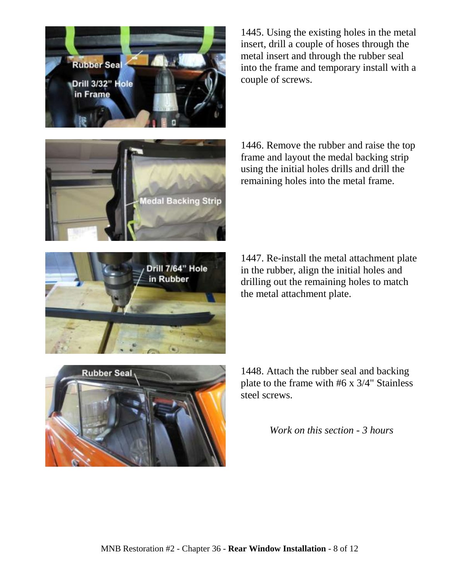



1448. Attach the rubber seal and backing plate to the frame with #6 x 3/4" Stainless steel screws.

*Work on this section - 3 hours*

1447. Re-install the metal attachment plate in the rubber, align the initial holes and drilling out the remaining holes to match the metal attachment plate.

1446. Remove the rubber and raise the top frame and layout the medal backing strip using the initial holes drills and drill the remaining holes into the metal frame.

1445. Using the existing holes in the metal insert, drill a couple of hoses through the metal insert and through the rubber seal into the frame and temporary install with a couple of screws.



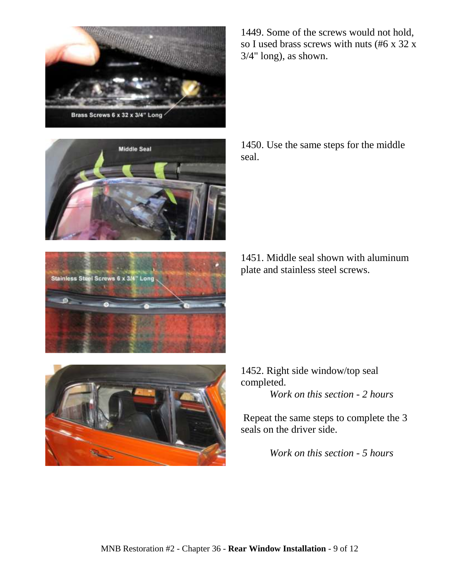



Long

Stainless Steel Screws 6 x 3/4"

1449. Some of the screws would not hold, so I used brass screws with nuts (#6 x 32 x 3/4" long), as shown.

1450. Use the same steps for the middle seal.





1452. Right side window/top seal completed. *Work on this section - 2 hours*

Repeat the same steps to complete the 3 seals on the driver side.

*Work on this section - 5 hours*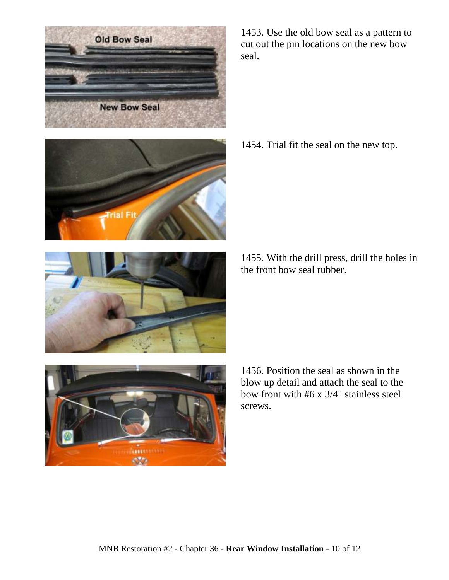

1453. Use the old bow seal as a pattern to cut out the pin locations on the new bow seal.

1454. Trial fit the seal on the new top.

1455. With the drill press, drill the holes in the front bow seal rubber.





1456. Position the seal as shown in the blow up detail and attach the seal to the bow front with #6 x 3/4" stainless steel screws.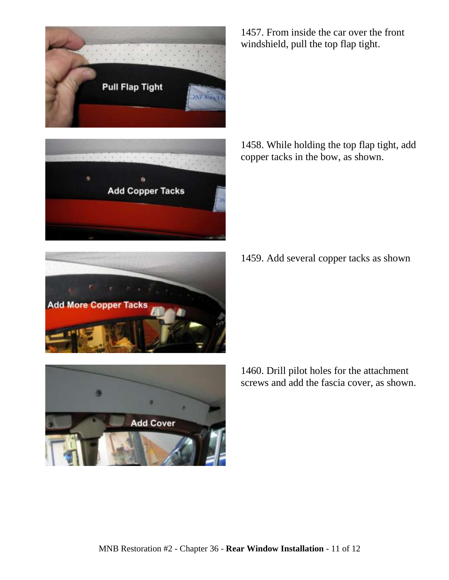



1457. From inside the car over the front windshield, pull the top flap tight.

1458. While holding the top flap tight, add copper tacks in the bow, as shown.

1459. Add several copper tacks as shown



1460. Drill pilot holes for the attachment screws and add the fascia cover, as shown.